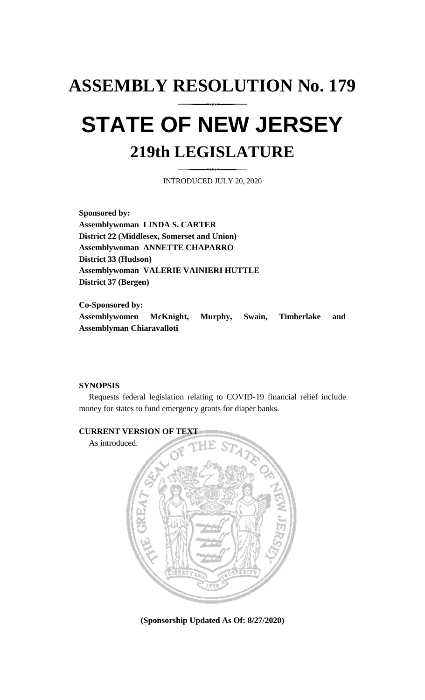# **ASSEMBLY RESOLUTION No. 179**

# **STATE OF NEW JERSEY 219th LEGISLATURE**

INTRODUCED JULY 20, 2020

**Sponsored by: Assemblywoman LINDA S. CARTER District 22 (Middlesex, Somerset and Union) Assemblywoman ANNETTE CHAPARRO District 33 (Hudson) Assemblywoman VALERIE VAINIERI HUTTLE District 37 (Bergen)**

**Co-Sponsored by: Assemblywomen McKnight, Murphy, Swain, Timberlake and Assemblyman Chiaravalloti**

## **SYNOPSIS**

Requests federal legislation relating to COVID-19 financial relief include money for states to fund emergency grants for diaper banks.



**(Sponsorship Updated As Of: 8/27/2020)**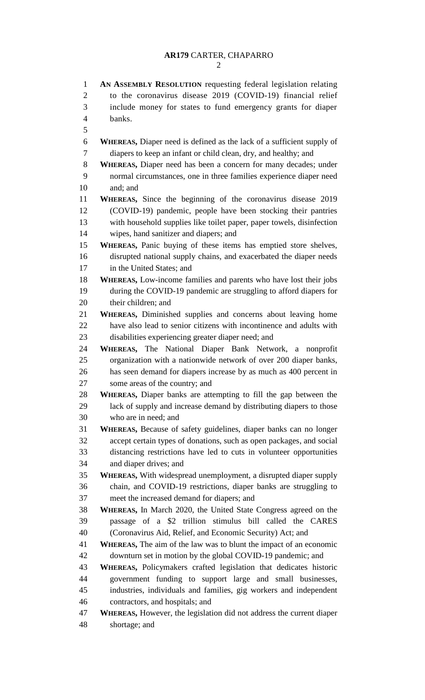# **AR179** CARTER, CHAPARRO

 **AN ASSEMBLY RESOLUTION** requesting federal legislation relating to the coronavirus disease 2019 (COVID-19) financial relief include money for states to fund emergency grants for diaper banks. **WHEREAS,** Diaper need is defined as the lack of a sufficient supply of diapers to keep an infant or child clean, dry, and healthy; and **WHEREAS,** Diaper need has been a concern for many decades; under normal circumstances, one in three families experience diaper need and; and **WHEREAS,** Since the beginning of the coronavirus disease 2019 (COVID-19) pandemic, people have been stocking their pantries with household supplies like toilet paper, paper towels, disinfection wipes, hand sanitizer and diapers; and **WHEREAS,** Panic buying of these items has emptied store shelves, disrupted national supply chains, and exacerbated the diaper needs in the United States; and **WHEREAS,** Low-income families and parents who have lost their jobs during the COVID-19 pandemic are struggling to afford diapers for their children; and **WHEREAS,** Diminished supplies and concerns about leaving home have also lead to senior citizens with incontinence and adults with disabilities experiencing greater diaper need; and **WHEREAS,** The National Diaper Bank Network, a nonprofit organization with a nationwide network of over 200 diaper banks, has seen demand for diapers increase by as much as 400 percent in some areas of the country; and **WHEREAS,** Diaper banks are attempting to fill the gap between the lack of supply and increase demand by distributing diapers to those who are in need; and **WHEREAS,** Because of safety guidelines, diaper banks can no longer accept certain types of donations, such as open packages, and social distancing restrictions have led to cuts in volunteer opportunities and diaper drives; and **WHEREAS,** With widespread unemployment, a disrupted diaper supply chain, and COVID-19 restrictions, diaper banks are struggling to meet the increased demand for diapers; and **WHEREAS,** In March 2020, the United State Congress agreed on the passage of a \$2 trillion stimulus bill called the CARES (Coronavirus Aid, Relief, and Economic Security) Act; and **WHEREAS,** The aim of the law was to blunt the impact of an economic downturn set in motion by the global COVID-19 pandemic; and **WHEREAS,** Policymakers crafted legislation that dedicates historic government funding to support large and small businesses, industries, individuals and families, gig workers and independent contractors, and hospitals; and **WHEREAS,** However, the legislation did not address the current diaper shortage; and